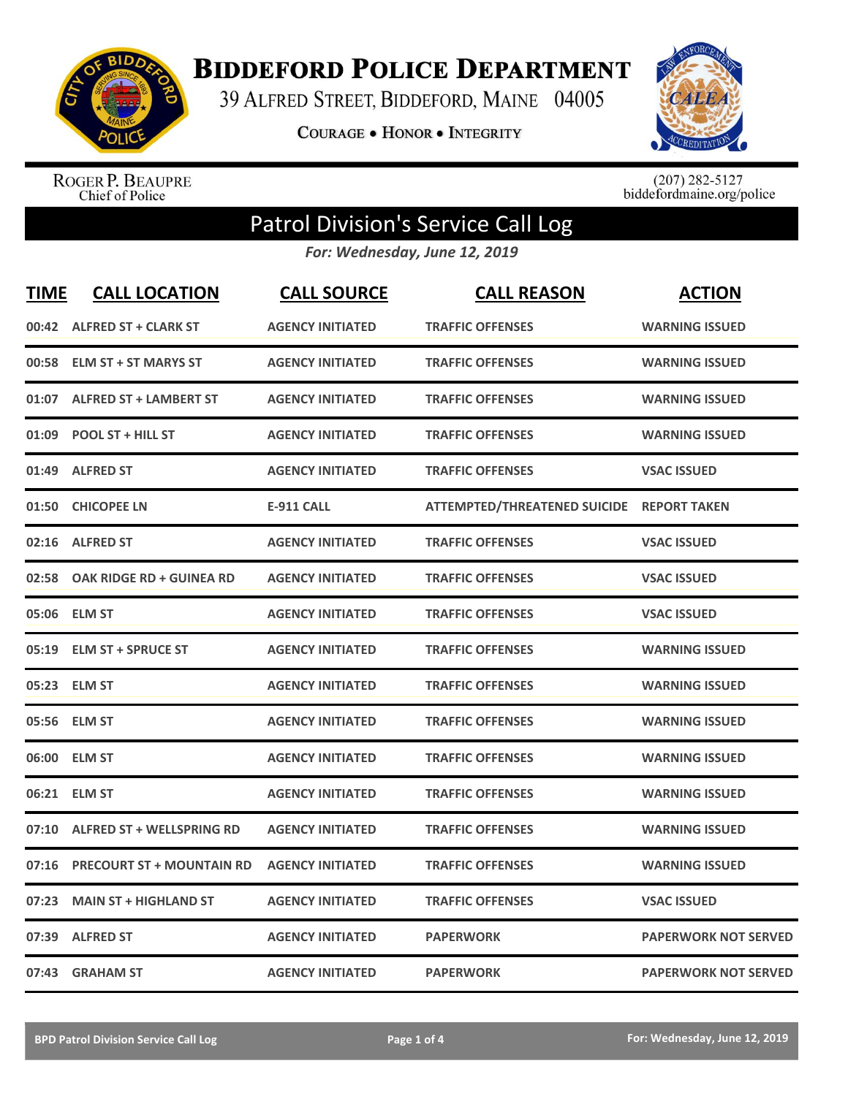

**BIDDEFORD POLICE DEPARTMENT** 

39 ALFRED STREET, BIDDEFORD, MAINE 04005

**COURAGE . HONOR . INTEGRITY** 



ROGER P. BEAUPRE<br>Chief of Police

 $(207)$  282-5127<br>biddefordmaine.org/police

## Patrol Division's Service Call Log

*For: Wednesday, June 12, 2019*

| <b>TIME</b> | <b>CALL LOCATION</b>             | <b>CALL SOURCE</b>      | <b>CALL REASON</b>                  | <b>ACTION</b>               |
|-------------|----------------------------------|-------------------------|-------------------------------------|-----------------------------|
| 00:42       | <b>ALFRED ST + CLARK ST</b>      | <b>AGENCY INITIATED</b> | <b>TRAFFIC OFFENSES</b>             | <b>WARNING ISSUED</b>       |
| 00:58       | <b>ELM ST + ST MARYS ST</b>      | <b>AGENCY INITIATED</b> | <b>TRAFFIC OFFENSES</b>             | <b>WARNING ISSUED</b>       |
| 01:07       | <b>ALFRED ST + LAMBERT ST</b>    | <b>AGENCY INITIATED</b> | <b>TRAFFIC OFFENSES</b>             | <b>WARNING ISSUED</b>       |
| 01:09       | <b>POOL ST + HILL ST</b>         | <b>AGENCY INITIATED</b> | <b>TRAFFIC OFFENSES</b>             | <b>WARNING ISSUED</b>       |
| 01:49       | <b>ALFRED ST</b>                 | <b>AGENCY INITIATED</b> | <b>TRAFFIC OFFENSES</b>             | <b>VSAC ISSUED</b>          |
| 01:50       | <b>CHICOPEE LN</b>               | <b>E-911 CALL</b>       | <b>ATTEMPTED/THREATENED SUICIDE</b> | <b>REPORT TAKEN</b>         |
| 02:16       | <b>ALFRED ST</b>                 | <b>AGENCY INITIATED</b> | <b>TRAFFIC OFFENSES</b>             | <b>VSAC ISSUED</b>          |
| 02:58       | OAK RIDGE RD + GUINEA RD         | <b>AGENCY INITIATED</b> | <b>TRAFFIC OFFENSES</b>             | <b>VSAC ISSUED</b>          |
| 05:06       | <b>ELM ST</b>                    | <b>AGENCY INITIATED</b> | <b>TRAFFIC OFFENSES</b>             | <b>VSAC ISSUED</b>          |
| 05:19       | <b>ELM ST + SPRUCE ST</b>        | <b>AGENCY INITIATED</b> | <b>TRAFFIC OFFENSES</b>             | <b>WARNING ISSUED</b>       |
|             | 05:23 ELM ST                     | <b>AGENCY INITIATED</b> | <b>TRAFFIC OFFENSES</b>             | <b>WARNING ISSUED</b>       |
|             | 05:56 ELM ST                     | <b>AGENCY INITIATED</b> | <b>TRAFFIC OFFENSES</b>             | <b>WARNING ISSUED</b>       |
| 06:00       | <b>ELM ST</b>                    | <b>AGENCY INITIATED</b> | <b>TRAFFIC OFFENSES</b>             | <b>WARNING ISSUED</b>       |
| 06:21       | <b>ELM ST</b>                    | <b>AGENCY INITIATED</b> | <b>TRAFFIC OFFENSES</b>             | <b>WARNING ISSUED</b>       |
| 07:10       | <b>ALFRED ST + WELLSPRING RD</b> | <b>AGENCY INITIATED</b> | <b>TRAFFIC OFFENSES</b>             | <b>WARNING ISSUED</b>       |
| 07:16       | <b>PRECOURT ST + MOUNTAIN RD</b> | <b>AGENCY INITIATED</b> | <b>TRAFFIC OFFENSES</b>             | <b>WARNING ISSUED</b>       |
| 07:23       | <b>MAIN ST + HIGHLAND ST</b>     | <b>AGENCY INITIATED</b> | <b>TRAFFIC OFFENSES</b>             | <b>VSAC ISSUED</b>          |
| 07:39       | <b>ALFRED ST</b>                 | <b>AGENCY INITIATED</b> | <b>PAPERWORK</b>                    | <b>PAPERWORK NOT SERVED</b> |
|             | 07:43 GRAHAM ST                  | <b>AGENCY INITIATED</b> | <b>PAPERWORK</b>                    | <b>PAPERWORK NOT SERVED</b> |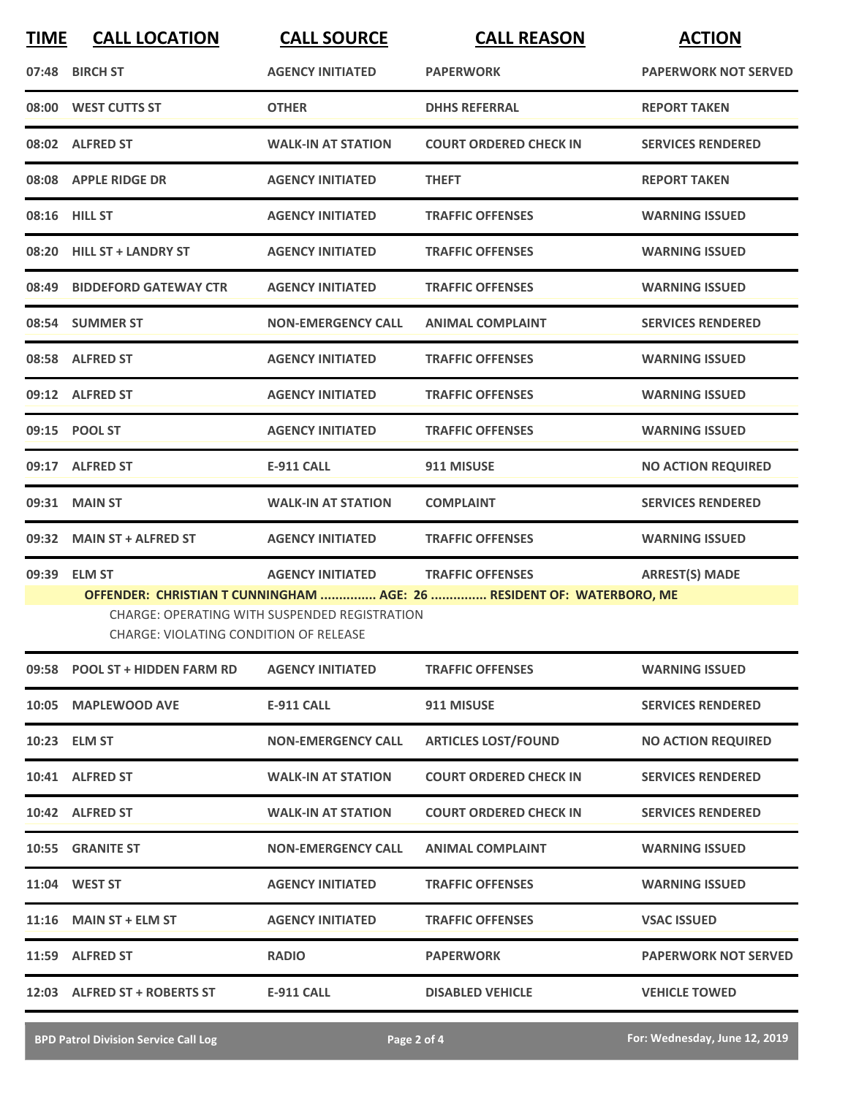| <b>TIME</b> | <b>CALL LOCATION</b>                   | <b>CALL SOURCE</b>                            | <b>CALL REASON</b>                                                    | <b>ACTION</b>               |
|-------------|----------------------------------------|-----------------------------------------------|-----------------------------------------------------------------------|-----------------------------|
|             | 07:48 BIRCH ST                         | <b>AGENCY INITIATED</b>                       | <b>PAPERWORK</b>                                                      | <b>PAPERWORK NOT SERVED</b> |
|             | 08:00 WEST CUTTS ST                    | <b>OTHER</b>                                  | <b>DHHS REFERRAL</b>                                                  | <b>REPORT TAKEN</b>         |
|             | 08:02 ALFRED ST                        | <b>WALK-IN AT STATION</b>                     | <b>COURT ORDERED CHECK IN</b>                                         | <b>SERVICES RENDERED</b>    |
|             | 08:08 APPLE RIDGE DR                   | <b>AGENCY INITIATED</b>                       | <b>THEFT</b>                                                          | <b>REPORT TAKEN</b>         |
|             | 08:16 HILL ST                          | <b>AGENCY INITIATED</b>                       | <b>TRAFFIC OFFENSES</b>                                               | <b>WARNING ISSUED</b>       |
|             | 08:20 HILL ST + LANDRY ST              | <b>AGENCY INITIATED</b>                       | <b>TRAFFIC OFFENSES</b>                                               | <b>WARNING ISSUED</b>       |
| 08:49       | <b>BIDDEFORD GATEWAY CTR</b>           | <b>AGENCY INITIATED</b>                       | <b>TRAFFIC OFFENSES</b>                                               | <b>WARNING ISSUED</b>       |
|             | 08:54 SUMMER ST                        | <b>NON-EMERGENCY CALL</b>                     | <b>ANIMAL COMPLAINT</b>                                               | <b>SERVICES RENDERED</b>    |
|             | 08:58 ALFRED ST                        | <b>AGENCY INITIATED</b>                       | <b>TRAFFIC OFFENSES</b>                                               | <b>WARNING ISSUED</b>       |
|             | 09:12 ALFRED ST                        | <b>AGENCY INITIATED</b>                       | <b>TRAFFIC OFFENSES</b>                                               | <b>WARNING ISSUED</b>       |
|             | 09:15 POOL ST                          | <b>AGENCY INITIATED</b>                       | <b>TRAFFIC OFFENSES</b>                                               | <b>WARNING ISSUED</b>       |
|             | 09:17 ALFRED ST                        | <b>E-911 CALL</b>                             | 911 MISUSE                                                            | <b>NO ACTION REQUIRED</b>   |
| 09:31       | <b>MAIN ST</b>                         | <b>WALK-IN AT STATION</b>                     | <b>COMPLAINT</b>                                                      | <b>SERVICES RENDERED</b>    |
|             | 09:32 MAIN ST + ALFRED ST              | <b>AGENCY INITIATED</b>                       | <b>TRAFFIC OFFENSES</b>                                               | <b>WARNING ISSUED</b>       |
| 09:39       | <b>ELM ST</b>                          | <b>AGENCY INITIATED</b>                       | <b>TRAFFIC OFFENSES</b>                                               | <b>ARREST(S) MADE</b>       |
|             | CHARGE: VIOLATING CONDITION OF RELEASE | CHARGE: OPERATING WITH SUSPENDED REGISTRATION | OFFENDER: CHRISTIAN T CUNNINGHAM  AGE: 26  RESIDENT OF: WATERBORO, ME |                             |
|             | 09:58 POOL ST + HIDDEN FARM RD         | <b>AGENCY INITIATED</b>                       | <b>TRAFFIC OFFENSES</b>                                               | <b>WARNING ISSUED</b>       |
|             | 10:05 MAPLEWOOD AVE                    | E-911 CALL                                    | 911 MISUSE                                                            | <b>SERVICES RENDERED</b>    |
|             | 10:23 ELM ST                           | <b>NON-EMERGENCY CALL</b>                     | <b>ARTICLES LOST/FOUND</b>                                            | <b>NO ACTION REQUIRED</b>   |
|             | 10:41 ALFRED ST                        | <b>WALK-IN AT STATION</b>                     | <b>COURT ORDERED CHECK IN</b>                                         | <b>SERVICES RENDERED</b>    |
|             | 10:42 ALFRED ST                        | <b>WALK-IN AT STATION</b>                     | <b>COURT ORDERED CHECK IN</b>                                         | <b>SERVICES RENDERED</b>    |
|             | 10:55 GRANITE ST                       | <b>NON-EMERGENCY CALL</b>                     | <b>ANIMAL COMPLAINT</b>                                               | <b>WARNING ISSUED</b>       |
|             | 11:04 WEST ST                          | <b>AGENCY INITIATED</b>                       | <b>TRAFFIC OFFENSES</b>                                               | <b>WARNING ISSUED</b>       |
|             | 11:16 MAIN ST + ELM ST                 | <b>AGENCY INITIATED</b>                       | <b>TRAFFIC OFFENSES</b>                                               | <b>VSAC ISSUED</b>          |
|             | 11:59 ALFRED ST                        | <b>RADIO</b>                                  | <b>PAPERWORK</b>                                                      | <b>PAPERWORK NOT SERVED</b> |
|             | 12:03 ALFRED ST + ROBERTS ST           | <b>E-911 CALL</b>                             | <b>DISABLED VEHICLE</b>                                               | <b>VEHICLE TOWED</b>        |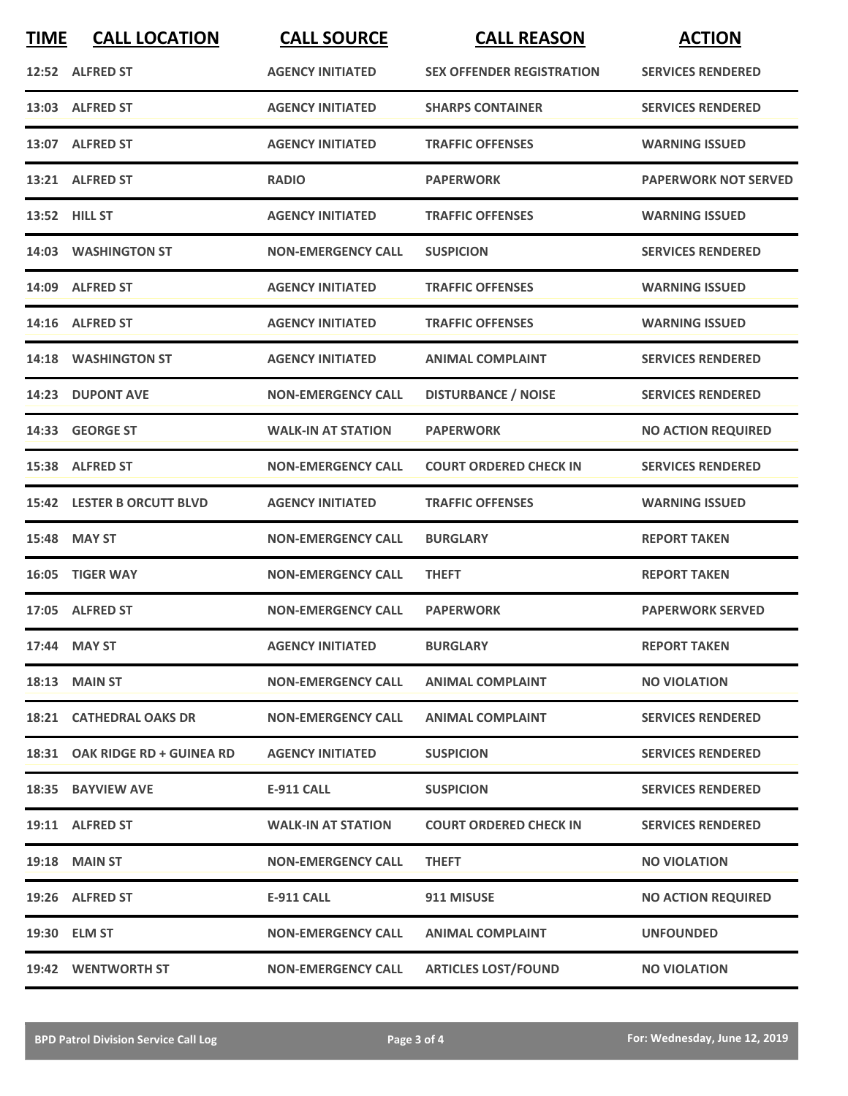| <b>TIME</b> | <b>CALL LOCATION</b>           | <b>CALL SOURCE</b>        | <b>CALL REASON</b>               | <b>ACTION</b>               |
|-------------|--------------------------------|---------------------------|----------------------------------|-----------------------------|
|             | 12:52 ALFRED ST                | <b>AGENCY INITIATED</b>   | <b>SEX OFFENDER REGISTRATION</b> | <b>SERVICES RENDERED</b>    |
|             | 13:03 ALFRED ST                | <b>AGENCY INITIATED</b>   | <b>SHARPS CONTAINER</b>          | <b>SERVICES RENDERED</b>    |
|             | 13:07 ALFRED ST                | <b>AGENCY INITIATED</b>   | <b>TRAFFIC OFFENSES</b>          | <b>WARNING ISSUED</b>       |
|             | 13:21 ALFRED ST                | <b>RADIO</b>              | <b>PAPERWORK</b>                 | <b>PAPERWORK NOT SERVED</b> |
|             | 13:52 HILL ST                  | <b>AGENCY INITIATED</b>   | <b>TRAFFIC OFFENSES</b>          | <b>WARNING ISSUED</b>       |
|             | 14:03 WASHINGTON ST            | <b>NON-EMERGENCY CALL</b> | <b>SUSPICION</b>                 | <b>SERVICES RENDERED</b>    |
|             | 14:09 ALFRED ST                | <b>AGENCY INITIATED</b>   | <b>TRAFFIC OFFENSES</b>          | <b>WARNING ISSUED</b>       |
|             | 14:16 ALFRED ST                | <b>AGENCY INITIATED</b>   | <b>TRAFFIC OFFENSES</b>          | <b>WARNING ISSUED</b>       |
| 14:18       | <b>WASHINGTON ST</b>           | <b>AGENCY INITIATED</b>   | <b>ANIMAL COMPLAINT</b>          | <b>SERVICES RENDERED</b>    |
|             | 14:23 DUPONT AVE               | <b>NON-EMERGENCY CALL</b> | <b>DISTURBANCE / NOISE</b>       | <b>SERVICES RENDERED</b>    |
|             | 14:33 GEORGE ST                | <b>WALK-IN AT STATION</b> | <b>PAPERWORK</b>                 | <b>NO ACTION REQUIRED</b>   |
|             | 15:38 ALFRED ST                | <b>NON-EMERGENCY CALL</b> | <b>COURT ORDERED CHECK IN</b>    | <b>SERVICES RENDERED</b>    |
|             | 15:42 LESTER B ORCUTT BLVD     | <b>AGENCY INITIATED</b>   | <b>TRAFFIC OFFENSES</b>          | <b>WARNING ISSUED</b>       |
|             | 15:48 MAY ST                   | <b>NON-EMERGENCY CALL</b> | <b>BURGLARY</b>                  | <b>REPORT TAKEN</b>         |
| 16:05       | <b>TIGER WAY</b>               | <b>NON-EMERGENCY CALL</b> | <b>THEFT</b>                     | <b>REPORT TAKEN</b>         |
|             | 17:05 ALFRED ST                | <b>NON-EMERGENCY CALL</b> | <b>PAPERWORK</b>                 | <b>PAPERWORK SERVED</b>     |
|             | 17:44 MAY ST                   | <b>AGENCY INITIATED</b>   | <b>BURGLARY</b>                  | <b>REPORT TAKEN</b>         |
|             | <b>18:13 MAIN ST</b>           | <b>NON-EMERGENCY CALL</b> | <b>ANIMAL COMPLAINT</b>          | <b>NO VIOLATION</b>         |
|             | <b>18:21 CATHEDRAL OAKS DR</b> | <b>NON-EMERGENCY CALL</b> | <b>ANIMAL COMPLAINT</b>          | <b>SERVICES RENDERED</b>    |
|             | 18:31 OAK RIDGE RD + GUINEA RD | <b>AGENCY INITIATED</b>   | <b>SUSPICION</b>                 | <b>SERVICES RENDERED</b>    |
|             | 18:35 BAYVIEW AVE              | <b>E-911 CALL</b>         | <b>SUSPICION</b>                 | <b>SERVICES RENDERED</b>    |
|             | 19:11 ALFRED ST                | <b>WALK-IN AT STATION</b> | <b>COURT ORDERED CHECK IN</b>    | <b>SERVICES RENDERED</b>    |
|             | <b>19:18 MAIN ST</b>           | <b>NON-EMERGENCY CALL</b> | <b>THEFT</b>                     | <b>NO VIOLATION</b>         |
|             | 19:26 ALFRED ST                | <b>E-911 CALL</b>         | 911 MISUSE                       | <b>NO ACTION REQUIRED</b>   |
|             | 19:30 ELM ST                   | <b>NON-EMERGENCY CALL</b> | <b>ANIMAL COMPLAINT</b>          | <b>UNFOUNDED</b>            |
|             | 19:42 WENTWORTH ST             | <b>NON-EMERGENCY CALL</b> | <b>ARTICLES LOST/FOUND</b>       | <b>NO VIOLATION</b>         |